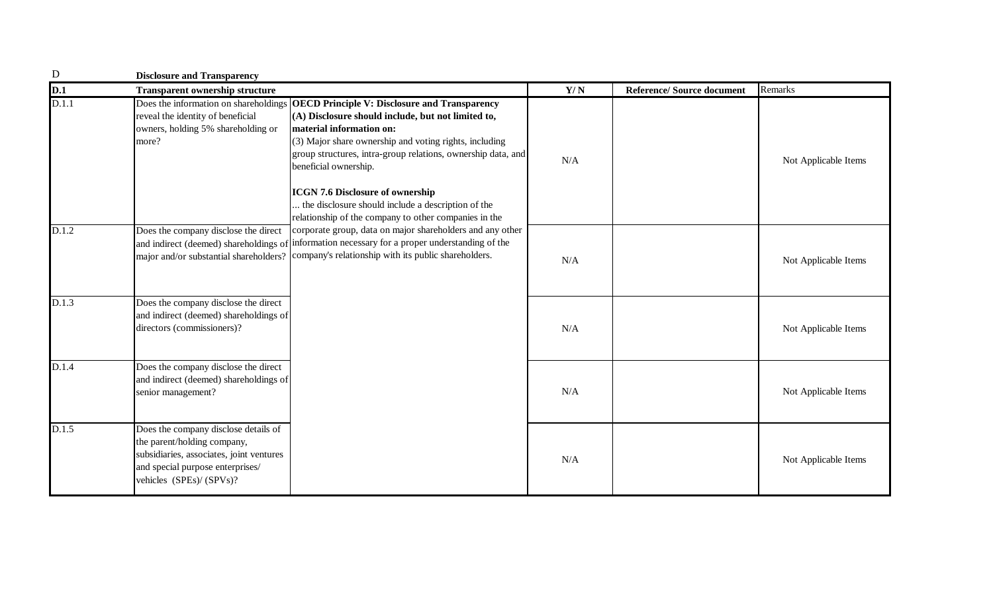| $\mathbf D$ | <b>Disclosure and Transparency</b>                                                                                                                                              |                                                                                                                                                                                                                                                                                           |     |                                  |                      |
|-------------|---------------------------------------------------------------------------------------------------------------------------------------------------------------------------------|-------------------------------------------------------------------------------------------------------------------------------------------------------------------------------------------------------------------------------------------------------------------------------------------|-----|----------------------------------|----------------------|
| D.1         | <b>Transparent ownership structure</b>                                                                                                                                          |                                                                                                                                                                                                                                                                                           | Y/N | <b>Reference/Source document</b> | Remarks              |
| D.1.1       | Does the information on shareholdings<br>reveal the identity of beneficial<br>owners, holding 5% shareholding or<br>more?                                                       | <b>OECD Principle V: Disclosure and Transparency</b><br>(A) Disclosure should include, but not limited to,<br>material information on:<br>(3) Major share ownership and voting rights, including<br>group structures, intra-group relations, ownership data, and<br>beneficial ownership. | N/A |                                  | Not Applicable Items |
|             |                                                                                                                                                                                 | <b>ICGN 7.6 Disclosure of ownership</b><br>the disclosure should include a description of the<br>relationship of the company to other companies in the                                                                                                                                    |     |                                  |                      |
| D.1.2       | Does the company disclose the direct                                                                                                                                            | corporate group, data on major shareholders and any other<br>and indirect (deemed) shareholdings of information necessary for a proper understanding of the<br>major and/or substantial shareholders? company's relationship with its public shareholders.                                | N/A |                                  | Not Applicable Items |
| D.1.3       | Does the company disclose the direct<br>and indirect (deemed) shareholdings of<br>directors (commissioners)?                                                                    |                                                                                                                                                                                                                                                                                           | N/A |                                  | Not Applicable Items |
| D.1.4       | Does the company disclose the direct<br>and indirect (deemed) shareholdings of<br>senior management?                                                                            |                                                                                                                                                                                                                                                                                           | N/A |                                  | Not Applicable Items |
| D.1.5       | Does the company disclose details of<br>the parent/holding company,<br>subsidiaries, associates, joint ventures<br>and special purpose enterprises/<br>vehicles (SPEs)/ (SPVs)? |                                                                                                                                                                                                                                                                                           | N/A |                                  | Not Applicable Items |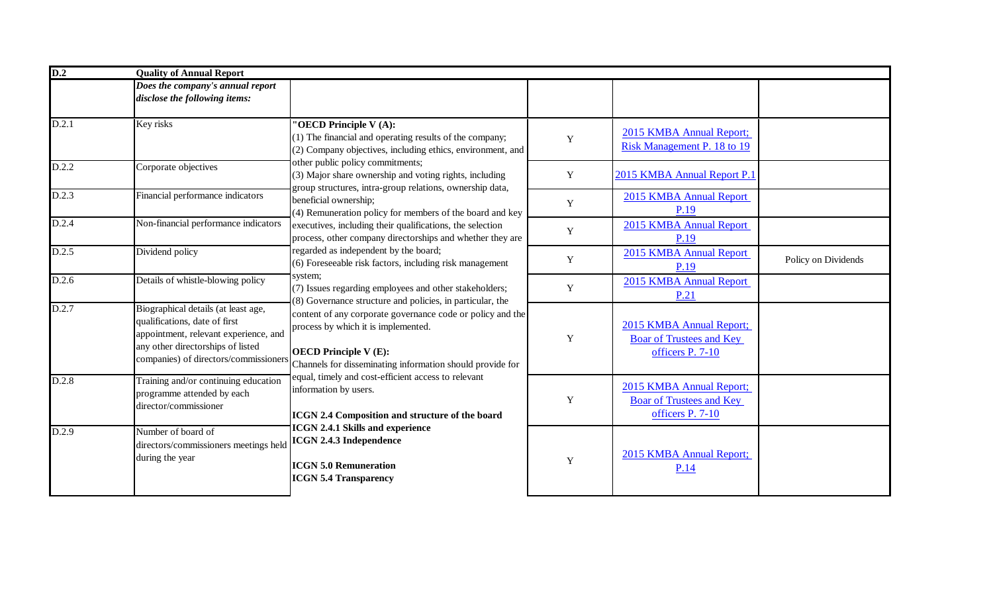| D.2   | <b>Quality of Annual Report</b>                                                                                                                                                             |                                                                                                                                                                                                |             |                                                                                 |                     |  |
|-------|---------------------------------------------------------------------------------------------------------------------------------------------------------------------------------------------|------------------------------------------------------------------------------------------------------------------------------------------------------------------------------------------------|-------------|---------------------------------------------------------------------------------|---------------------|--|
|       | Does the company's annual report<br>disclose the following items:                                                                                                                           |                                                                                                                                                                                                |             |                                                                                 |                     |  |
| D.2.1 | Key risks                                                                                                                                                                                   | "OECD Principle V(A):<br>(1) The financial and operating results of the company;<br>(2) Company objectives, including ethics, environment, and                                                 | Y           | 2015 KMBA Annual Report;<br>Risk Management P. 18 to 19                         |                     |  |
| D.2.2 | Corporate objectives                                                                                                                                                                        | other public policy commitments;<br>(3) Major share ownership and voting rights, including<br>group structures, intra-group relations, ownership data,                                         | Y           | 2015 KMBA Annual Report P.1                                                     |                     |  |
| D.2.3 | Financial performance indicators                                                                                                                                                            | beneficial ownership;<br>(4) Remuneration policy for members of the board and key                                                                                                              | $\mathbf Y$ | 2015 KMBA Annual Report<br>P.19                                                 |                     |  |
| D.2.4 | Non-financial performance indicators                                                                                                                                                        | executives, including their qualifications, the selection<br>process, other company directorships and whether they are                                                                         | $\mathbf Y$ | 2015 KMBA Annual Report<br>P.19                                                 |                     |  |
| D.2.5 | Dividend policy                                                                                                                                                                             | regarded as independent by the board;<br>(6) Foreseeable risk factors, including risk management                                                                                               | $\mathbf Y$ | 2015 KMBA Annual Report<br>P.19                                                 | Policy on Dividends |  |
| D.2.6 | Details of whistle-blowing policy                                                                                                                                                           | system;<br>(7) Issues regarding employees and other stakeholders;<br>(8) Governance structure and policies, in particular, the                                                                 | $\mathbf Y$ | 2015 KMBA Annual Report<br>P.21                                                 |                     |  |
| D.2.7 | Biographical details (at least age,<br>qualifications, date of first<br>appointment, relevant experience, and<br>any other directorships of listed<br>companies) of directors/commissioners | content of any corporate governance code or policy and the<br>process by which it is implemented.<br><b>OECD Principle V (E):</b><br>Channels for disseminating information should provide for | Y           | 2015 KMBA Annual Report;<br><b>Boar of Trustees and Key</b><br>officers P. 7-10 |                     |  |
| D.2.8 | Training and/or continuing education<br>programme attended by each<br>director/commissioner                                                                                                 | equal, timely and cost-efficient access to relevant<br>information by users.<br>ICGN 2.4 Composition and structure of the board                                                                | Y           | 2015 KMBA Annual Report;<br><b>Boar of Trustees and Key</b><br>officers P. 7-10 |                     |  |
| D.2.9 | Number of board of<br>directors/commissioners meetings held<br>during the year                                                                                                              | <b>ICGN 2.4.1 Skills and experience</b><br><b>ICGN 2.4.3 Independence</b><br><b>ICGN 5.0 Remuneration</b><br><b>ICGN 5.4 Transparency</b>                                                      | Y           | 2015 KMBA Annual Report;<br>P.14                                                |                     |  |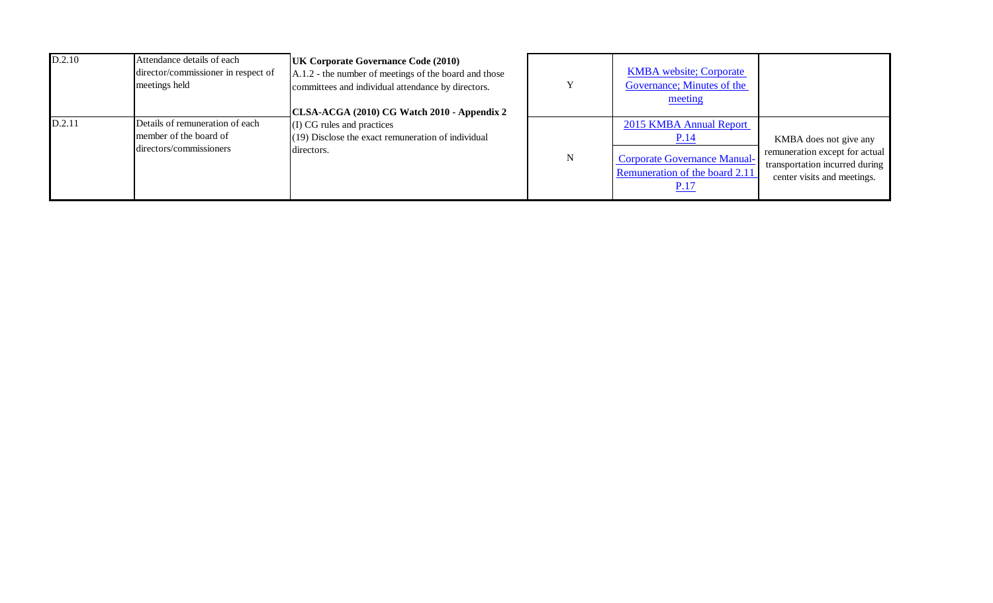| D.2.10 | Attendance details of each<br>director/commissioner in respect of<br>meetings held   | <b>UK Corporate Governance Code (2010)</b><br>A.1.2 - the number of meetings of the board and those<br>committees and individual attendance by directors.<br>CLSA-ACGA (2010) CG Watch 2010 - Appendix 2 | Y | <b>KMBA</b> website; Corporate<br>Governance; Minutes of the<br>meeting                                                        |                                                                                                                           |
|--------|--------------------------------------------------------------------------------------|----------------------------------------------------------------------------------------------------------------------------------------------------------------------------------------------------------|---|--------------------------------------------------------------------------------------------------------------------------------|---------------------------------------------------------------------------------------------------------------------------|
| D.2.11 | Details of remuneration of each<br>member of the board of<br>directors/commissioners | (I) CG rules and practices<br>$(19)$ Disclose the exact remuneration of individual<br>directors.                                                                                                         | N | 2015 KMBA Annual Report<br><u>P.14</u><br><b>Corporate Governance Manual-</b><br>Remuneration of the board 2.11<br><u>P.17</u> | KMBA does not give any<br>remuneration except for actual<br>transportation incurred during<br>center visits and meetings. |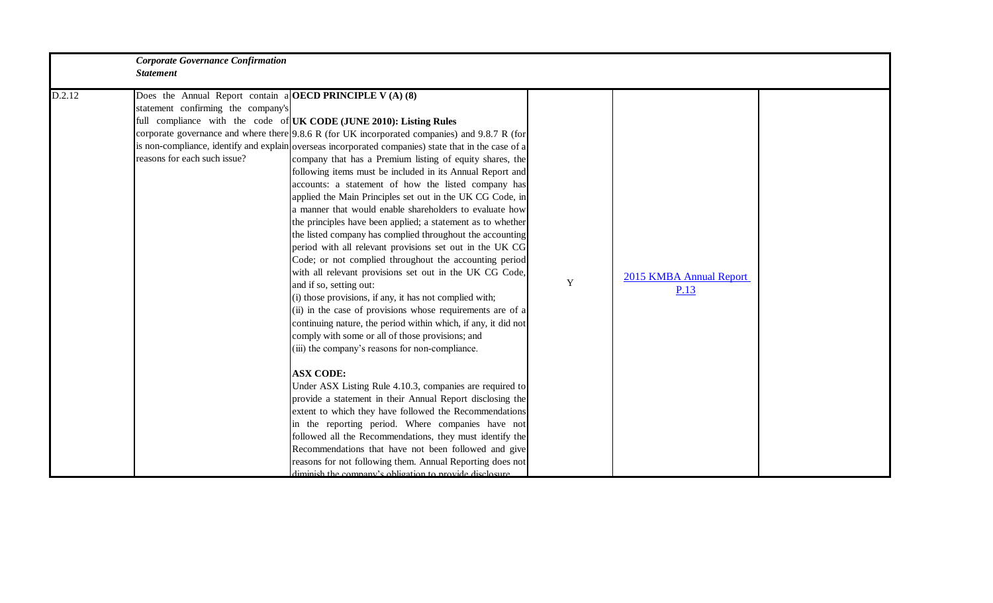|        | <b>Corporate Governance Confirmation</b>                                                                                               |                                                                                                                                                                                                                                                                                                                                                                                                                                                                                                                                                                                                                                                                                                                                                                                                                                                                                                                                                                                                                                                                                                                                                                                                                                                                                                                                                                                                                                                                                                                                                                                                                                                                                                                                        |   |                                 |  |
|--------|----------------------------------------------------------------------------------------------------------------------------------------|----------------------------------------------------------------------------------------------------------------------------------------------------------------------------------------------------------------------------------------------------------------------------------------------------------------------------------------------------------------------------------------------------------------------------------------------------------------------------------------------------------------------------------------------------------------------------------------------------------------------------------------------------------------------------------------------------------------------------------------------------------------------------------------------------------------------------------------------------------------------------------------------------------------------------------------------------------------------------------------------------------------------------------------------------------------------------------------------------------------------------------------------------------------------------------------------------------------------------------------------------------------------------------------------------------------------------------------------------------------------------------------------------------------------------------------------------------------------------------------------------------------------------------------------------------------------------------------------------------------------------------------------------------------------------------------------------------------------------------------|---|---------------------------------|--|
|        | <b>Statement</b>                                                                                                                       |                                                                                                                                                                                                                                                                                                                                                                                                                                                                                                                                                                                                                                                                                                                                                                                                                                                                                                                                                                                                                                                                                                                                                                                                                                                                                                                                                                                                                                                                                                                                                                                                                                                                                                                                        |   |                                 |  |
| D.2.12 | Does the Annual Report contain a <b>OECD PRINCIPLE V</b> (A) (8)<br>statement confirming the company's<br>reasons for each such issue? | full compliance with the code of UK CODE (JUNE 2010): Listing Rules<br>corporate governance and where there 9.8.6 R (for UK incorporated companies) and 9.8.7 R (for<br>is non-compliance, identify and explain overseas incorporated companies) state that in the case of a<br>company that has a Premium listing of equity shares, the<br>following items must be included in its Annual Report and<br>accounts: a statement of how the listed company has<br>applied the Main Principles set out in the UK CG Code, in<br>a manner that would enable shareholders to evaluate how<br>the principles have been applied; a statement as to whether<br>the listed company has complied throughout the accounting<br>period with all relevant provisions set out in the UK CG<br>Code; or not complied throughout the accounting period<br>with all relevant provisions set out in the UK CG Code,<br>and if so, setting out:<br>(i) those provisions, if any, it has not complied with;<br>(ii) in the case of provisions whose requirements are of a<br>continuing nature, the period within which, if any, it did not<br>comply with some or all of those provisions; and<br>(iii) the company's reasons for non-compliance.<br><b>ASX CODE:</b><br>Under ASX Listing Rule 4.10.3, companies are required to<br>provide a statement in their Annual Report disclosing the<br>extent to which they have followed the Recommendations<br>in the reporting period. Where companies have not<br>followed all the Recommendations, they must identify the<br>Recommendations that have not been followed and give<br>reasons for not following them. Annual Reporting does not<br>diminish the company's obligation to provide disclosure | Y | 2015 KMBA Annual Report<br>P.13 |  |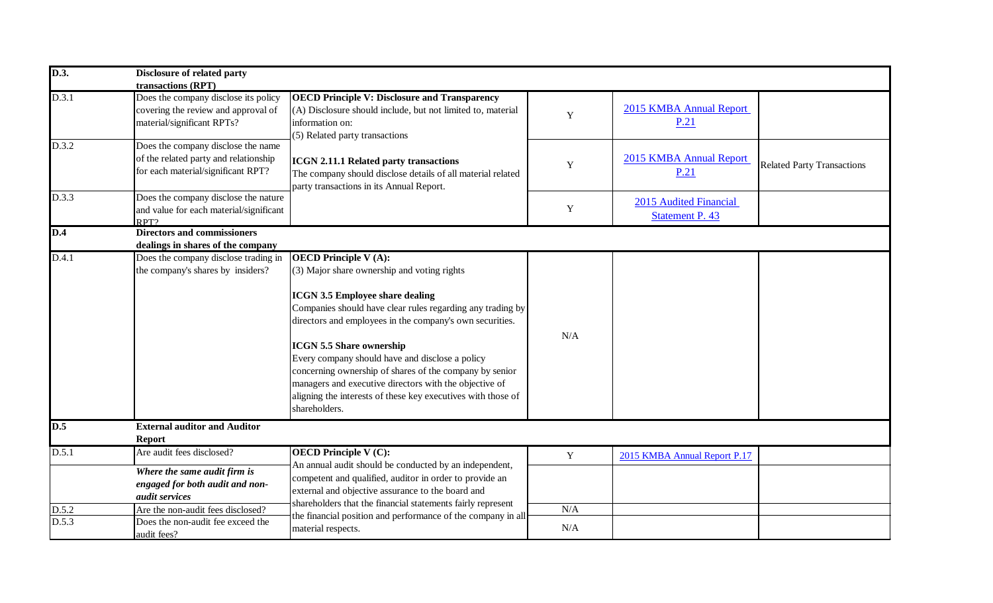| D.3.  | Disclosure of related party                                                                                       |                                                                                                                                                                                                                                                                                                                                                                                                                                                                                                                                              |             |                                                  |                                   |
|-------|-------------------------------------------------------------------------------------------------------------------|----------------------------------------------------------------------------------------------------------------------------------------------------------------------------------------------------------------------------------------------------------------------------------------------------------------------------------------------------------------------------------------------------------------------------------------------------------------------------------------------------------------------------------------------|-------------|--------------------------------------------------|-----------------------------------|
|       | transactions (RPT)                                                                                                |                                                                                                                                                                                                                                                                                                                                                                                                                                                                                                                                              |             |                                                  |                                   |
| D.3.1 | Does the company disclose its policy<br>covering the review and approval of<br>material/significant RPTs?         | <b>OECD Principle V: Disclosure and Transparency</b><br>$(A)$ Disclosure should include, but not limited to, material<br>information on:<br>(5) Related party transactions                                                                                                                                                                                                                                                                                                                                                                   | $\mathbf Y$ | 2015 KMBA Annual Report<br>P.21                  |                                   |
| D.3.2 | Does the company disclose the name<br>of the related party and relationship<br>for each material/significant RPT? | ICGN 2.11.1 Related party transactions<br>The company should disclose details of all material related<br>party transactions in its Annual Report.                                                                                                                                                                                                                                                                                                                                                                                            | $\mathbf Y$ | 2015 KMBA Annual Report<br>P.21                  | <b>Related Party Transactions</b> |
| D.3.3 | Does the company disclose the nature<br>and value for each material/significant<br>RPT?                           |                                                                                                                                                                                                                                                                                                                                                                                                                                                                                                                                              | $\mathbf Y$ | 2015 Audited Financial<br><b>Statement P. 43</b> |                                   |
| D.4   | <b>Directors and commissioners</b>                                                                                |                                                                                                                                                                                                                                                                                                                                                                                                                                                                                                                                              |             |                                                  |                                   |
|       | dealings in shares of the company                                                                                 |                                                                                                                                                                                                                                                                                                                                                                                                                                                                                                                                              |             |                                                  |                                   |
| D.4.1 | Does the company disclose trading in<br>the company's shares by insiders?                                         | <b>OECD Principle V(A):</b><br>$(3)$ Major share ownership and voting rights<br><b>ICGN 3.5 Employee share dealing</b><br>Companies should have clear rules regarding any trading by<br>directors and employees in the company's own securities.<br><b>ICGN 5.5 Share ownership</b><br>Every company should have and disclose a policy<br>concerning ownership of shares of the company by senior<br>managers and executive directors with the objective of<br>aligning the interests of these key executives with those of<br>shareholders. | N/A         |                                                  |                                   |
| D.5   | <b>External auditor and Auditor</b>                                                                               |                                                                                                                                                                                                                                                                                                                                                                                                                                                                                                                                              |             |                                                  |                                   |
|       | <b>Report</b>                                                                                                     |                                                                                                                                                                                                                                                                                                                                                                                                                                                                                                                                              |             |                                                  |                                   |
| D.5.1 | Are audit fees disclosed?                                                                                         | <b>OECD Principle V (C):</b>                                                                                                                                                                                                                                                                                                                                                                                                                                                                                                                 | Y           | 2015 KMBA Annual Report P.17                     |                                   |
|       | Where the same audit firm is<br>engaged for both audit and non-<br><i>audit services</i>                          | An annual audit should be conducted by an independent,<br>competent and qualified, auditor in order to provide an<br>external and objective assurance to the board and<br>shareholders that the financial statements fairly represent                                                                                                                                                                                                                                                                                                        |             |                                                  |                                   |
| D.5.2 | Are the non-audit fees disclosed?                                                                                 | the financial position and performance of the company in all                                                                                                                                                                                                                                                                                                                                                                                                                                                                                 | N/A         |                                                  |                                   |
| D.5.3 | Does the non-audit fee exceed the<br>audit fees?                                                                  | material respects.                                                                                                                                                                                                                                                                                                                                                                                                                                                                                                                           | N/A         |                                                  |                                   |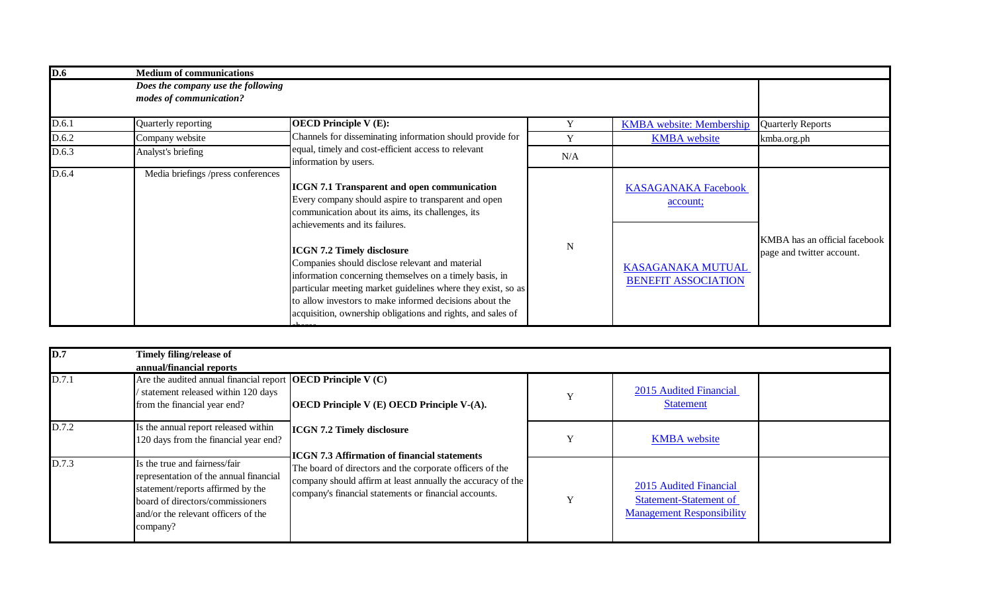| D.6   | <b>Medium of communications</b>                               |                                                                                                                                                                                                                                                                                                                                           |           |                                                 |                                                            |
|-------|---------------------------------------------------------------|-------------------------------------------------------------------------------------------------------------------------------------------------------------------------------------------------------------------------------------------------------------------------------------------------------------------------------------------|-----------|-------------------------------------------------|------------------------------------------------------------|
|       | Does the company use the following<br>modes of communication? |                                                                                                                                                                                                                                                                                                                                           |           |                                                 |                                                            |
| D.6.1 | Quarterly reporting                                           | <b>OECD Principle V(E):</b>                                                                                                                                                                                                                                                                                                               | Y         | <b>KMBA</b> website: Membership                 | <b>Quarterly Reports</b>                                   |
| D.6.2 | Company website                                               | Channels for disseminating information should provide for                                                                                                                                                                                                                                                                                 | Y         | <b>KMBA</b> website                             | kmba.org.ph                                                |
| D.6.3 | Analyst's briefing                                            | equal, timely and cost-efficient access to relevant<br>information by users.                                                                                                                                                                                                                                                              | N/A       |                                                 |                                                            |
| D.6.4 | Media briefings /press conferences                            | <b>ICGN 7.1 Transparent and open communication</b><br>Every company should aspire to transparent and open<br>communication about its aims, its challenges, its<br>achievements and its failures.                                                                                                                                          |           | <b>KASAGANAKA Facebook</b><br>account;          |                                                            |
|       |                                                               | <b>ICGN 7.2 Timely disclosure</b><br>Companies should disclose relevant and material<br>information concerning themselves on a timely basis, in<br>particular meeting market guidelines where they exist, so as<br>to allow investors to make informed decisions about the<br>acquisition, ownership obligations and rights, and sales of | ${\bf N}$ | KASAGANAKA MUTUAL<br><b>BENEFIT ASSOCIATION</b> | KMBA has an official facebook<br>page and twitter account. |

| D.7   | Timely filing/release of<br>annual/financial reports                                                                                                                                                |                                                                                                                                                                                  |   |                                                                                             |  |
|-------|-----------------------------------------------------------------------------------------------------------------------------------------------------------------------------------------------------|----------------------------------------------------------------------------------------------------------------------------------------------------------------------------------|---|---------------------------------------------------------------------------------------------|--|
| D.7.1 | Are the audited annual financial report <b>OECD</b> Principle $V(C)$<br>statement released within 120 days<br>from the financial year end?                                                          | <b>OECD</b> Principle $V(E)$ OECD Principle $V(A)$ .                                                                                                                             | Y | 2015 Audited Financial<br><b>Statement</b>                                                  |  |
| D.7.2 | Is the annual report released within<br>120 days from the financial year end?                                                                                                                       | <b>ICGN 7.2 Timely disclosure</b><br><b>ICGN 7.3 Affirmation of financial statements</b>                                                                                         |   | <b>KMBA</b> website                                                                         |  |
| D.7.3 | Is the true and fairness/fair<br>representation of the annual financial<br>statement/reports affirmed by the<br>board of directors/commissioners<br>and/or the relevant officers of the<br>company? | The board of directors and the corporate officers of the<br>company should affirm at least annually the accuracy of the<br>company's financial statements or financial accounts. |   | 2015 Audited Financial<br><b>Statement-Statement of</b><br><b>Management Responsibility</b> |  |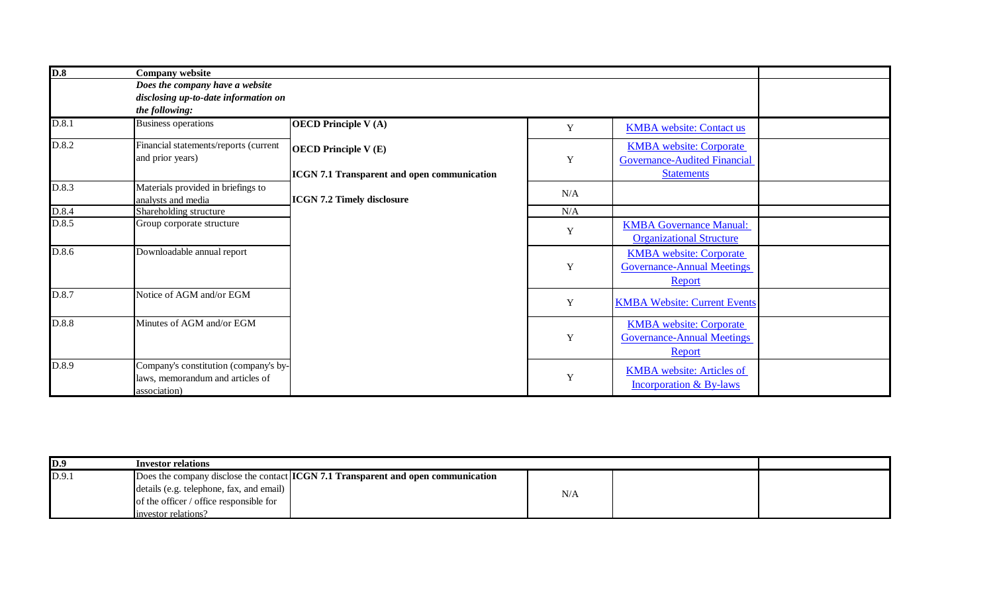| D.8   | <b>Company website</b><br>Does the company have a website<br>disclosing up-to-date information on |                                             |     |                                                                               |  |  |
|-------|---------------------------------------------------------------------------------------------------|---------------------------------------------|-----|-------------------------------------------------------------------------------|--|--|
|       | the following:                                                                                    |                                             |     |                                                                               |  |  |
| D.8.1 | <b>Business operations</b>                                                                        | <b>OECD</b> Principle V(A)                  | Y   | <b>KMBA</b> website: Contact us                                               |  |  |
| D.8.2 | Financial statements/reports (current<br>and prior years)                                         | <b>OECD</b> Principle V(E)                  | Y   | <b>KMBA</b> website: Corporate<br><b>Governance-Audited Financial</b>         |  |  |
|       |                                                                                                   | ICGN 7.1 Transparent and open communication |     | <b>Statements</b>                                                             |  |  |
| D.8.3 | Materials provided in briefings to<br>analysts and media                                          | ICGN 7.2 Timely disclosure                  | N/A |                                                                               |  |  |
| D.8.4 | Shareholding structure                                                                            |                                             | N/A |                                                                               |  |  |
| D.8.5 | Group corporate structure                                                                         |                                             | Y   | <b>KMBA</b> Governance Manual:<br><b>Organizational Structure</b>             |  |  |
| D.8.6 | Downloadable annual report                                                                        |                                             | Y   | <b>KMBA</b> website: Corporate<br><b>Governance-Annual Meetings</b><br>Report |  |  |
| D.8.7 | Notice of AGM and/or EGM                                                                          |                                             | Y   | <b>KMBA Website: Current Events</b>                                           |  |  |
| D.8.8 | Minutes of AGM and/or EGM                                                                         |                                             | Y   | <b>KMBA</b> website: Corporate<br><b>Governance-Annual Meetings</b><br>Report |  |  |
| D.8.9 | Company's constitution (company's by-<br>laws, memorandum and articles of<br>association)         |                                             | Y   | <b>KMBA</b> website: Articles of<br>Incorporation & By-laws                   |  |  |

| D.9   | Investor relations                                                                   |     |  |  |
|-------|--------------------------------------------------------------------------------------|-----|--|--|
| D.9.1 | Does the company disclose the contact $[ICGN 7.1$ Transparent and open communication |     |  |  |
|       | details (e.g. telephone, fax, and email)                                             | N/A |  |  |
|       | of the officer / office responsible for                                              |     |  |  |
|       | linvestor relations?                                                                 |     |  |  |